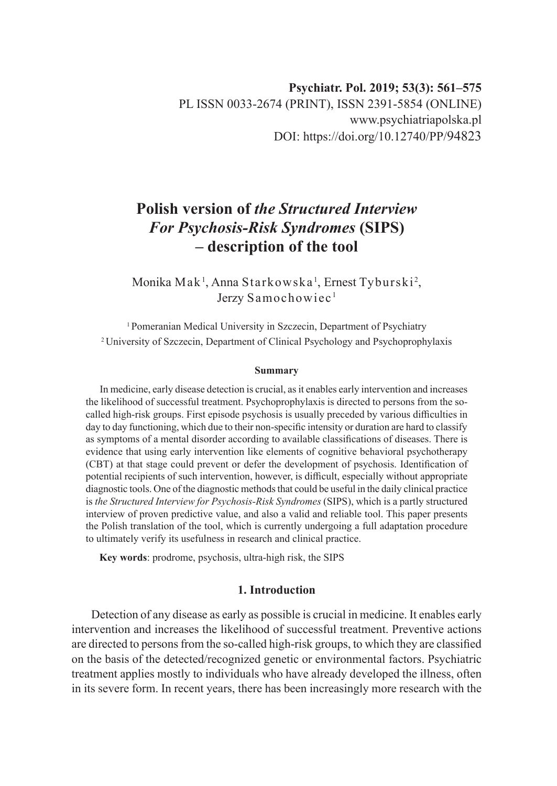# **Polish version of** *the Structured Interview For Psychosis-Risk Syndromes* **(SIPS) – description of the tool**

Monika Mak<sup>1</sup>, Anna Starkowska<sup>1</sup>, Ernest Tyburski<sup>2</sup>, Jerzy Samochowiec<sup>1</sup>

<sup>1</sup> Pomeranian Medical University in Szczecin, Department of Psychiatry 2 University of Szczecin, Department of Clinical Psychology and Psychoprophylaxis

#### **Summary**

In medicine, early disease detection is crucial, as it enables early intervention and increases the likelihood of successful treatment. Psychoprophylaxis is directed to persons from the socalled high-risk groups. First episode psychosis is usually preceded by various difficulties in day to day functioning, which due to their non-specific intensity or duration are hard to classify as symptoms of a mental disorder according to available classifications of diseases. There is evidence that using early intervention like elements of cognitive behavioral psychotherapy (CBT) at that stage could prevent or defer the development of psychosis. Identification of potential recipients of such intervention, however, is difficult, especially without appropriate diagnostic tools. One of the diagnostic methods that could be useful in the daily clinical practice is *the Structured Interview for Psychosis-Risk Syndromes* (SIPS), which is a partly structured interview of proven predictive value, and also a valid and reliable tool. This paper presents the Polish translation of the tool, which is currently undergoing a full adaptation procedure to ultimately verify its usefulness in research and clinical practice.

**Key words**: prodrome, psychosis, ultra-high risk, the SIPS

# **1. Introduction**

Detection of any disease as early as possible is crucial in medicine. It enables early intervention and increases the likelihood of successful treatment. Preventive actions are directed to persons from the so-called high-risk groups, to which they are classified on the basis of the detected/recognized genetic or environmental factors. Psychiatric treatment applies mostly to individuals who have already developed the illness, often in its severe form. In recent years, there has been increasingly more research with the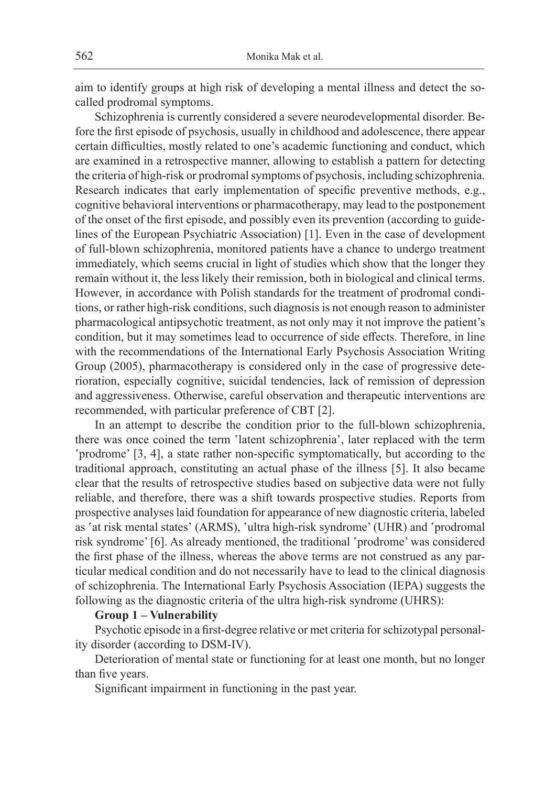aim to identify groups at high risk of developing a mental illness and detect the socalled prodromal symptoms.

Schizophrenia is currently considered a severe neurodevelopmental disorder. Before the first episode of psychosis, usually in childhood and adolescence, there appear certain difficulties, mostly related to one's academic functioning and conduct, which are examined in a retrospective manner, allowing to establish a pattern for detecting the criteria of high-risk or prodromal symptoms of psychosis, including schizophrenia. Research indicates that early implementation of specific preventive methods, e.g., cognitive behavioral interventions or pharmacotherapy, may lead to the postponement of the onset of the first episode, and possibly even its prevention (according to guidelines of the European Psychiatric Association) [1]. Even in the case of development of full-blown schizophrenia, monitored patients have a chance to undergo treatment immediately, which seems crucial in light of studies which show that the longer they remain without it, the less likely their remission, both in biological and clinical terms. However, in accordance with Polish standards for the treatment of prodromal conditions, or rather high-risk conditions, such diagnosis is not enough reason to administer pharmacological antipsychotic treatment, as not only may it not improve the patient's condition, but it may sometimes lead to occurrence of side effects. Therefore, in line with the recommendations of the International Early Psychosis Association Writing Group (2005), pharmacotherapy is considered only in the case of progressive deterioration, especially cognitive, suicidal tendencies, lack of remission of depression and aggressiveness. Otherwise, careful observation and therapeutic interventions are recommended, with particular preference of CBT [2].

In an attempt to describe the condition prior to the full-blown schizophrenia, there was once coined the term 'latent schizophrenia', later replaced with the term 'prodrome' [3, 4], a state rather non-specific symptomatically, but according to the traditional approach, constituting an actual phase of the illness [5]. It also became clear that the results of retrospective studies based on subjective data were not fully reliable, and therefore, there was a shift towards prospective studies. Reports from prospective analyses laid foundation for appearance of new diagnostic criteria, labeled as 'at risk mental states' (ARMS), 'ultra high-risk syndrome' (UHR) and 'prodromal risk syndrome' [6]. As already mentioned, the traditional 'prodrome' was considered the first phase of the illness, whereas the above terms are not construed as any particular medical condition and do not necessarily have to lead to the clinical diagnosis of schizophrenia. The International Early Psychosis Association (IEPA) suggests the following as the diagnostic criteria of the ultra high-risk syndrome (UHRS):

#### **Group 1 – Vulnerability**

Psychotic episode in a first-degree relative or met criteria for schizotypal personality disorder (according to DSM-IV).

Deterioration of mental state or functioning for at least one month, but no longer than five years.

Significant impairment in functioning in the past year.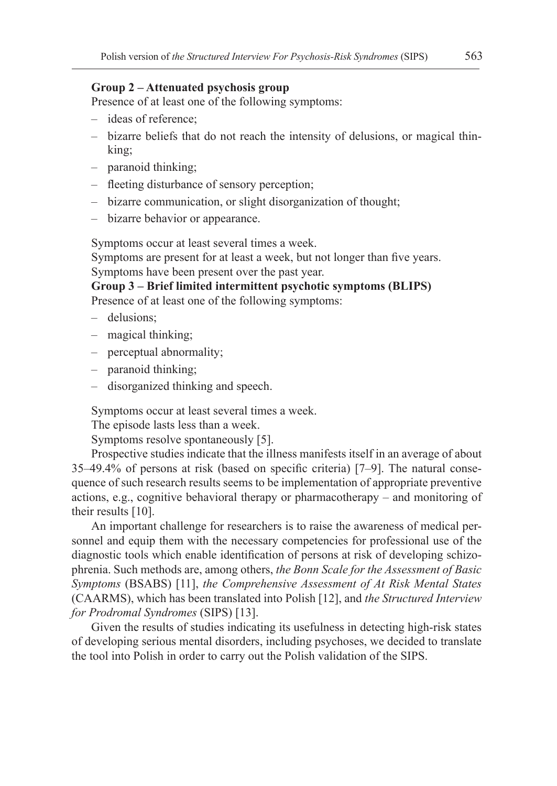# **Group 2 – Attenuated psychosis group**

Presence of at least one of the following symptoms:

- ideas of reference;
- bizarre beliefs that do not reach the intensity of delusions, or magical thinking;
- paranoid thinking;
- fleeting disturbance of sensory perception;
- bizarre communication, or slight disorganization of thought;
- bizarre behavior or appearance.

Symptoms occur at least several times a week.

Symptoms are present for at least a week, but not longer than five years. Symptoms have been present over the past year.

**Group 3 – Brief limited intermittent psychotic symptoms (BLIPS)**

Presence of at least one of the following symptoms:

- delusions;
- magical thinking;
- perceptual abnormality;
- paranoid thinking;
- disorganized thinking and speech.

Symptoms occur at least several times a week.

The episode lasts less than a week.

Symptoms resolve spontaneously [5].

Prospective studies indicate that the illness manifests itself in an average of about 35–49.4% of persons at risk (based on specific criteria) [7–9]. The natural consequence of such research results seems to be implementation of appropriate preventive actions, e.g., cognitive behavioral therapy or pharmacotherapy – and monitoring of their results [10].

An important challenge for researchers is to raise the awareness of medical personnel and equip them with the necessary competencies for professional use of the diagnostic tools which enable identification of persons at risk of developing schizophrenia. Such methods are, among others, *the Bonn Scale for the Assessment of Basic Symptoms* (BSABS) [11], *the Comprehensive Assessment of At Risk Mental States* (CAARMS), which has been translated into Polish [12], and *the Structured Interview for Prodromal Syndromes* (SIPS) [13].

Given the results of studies indicating its usefulness in detecting high-risk states of developing serious mental disorders, including psychoses, we decided to translate the tool into Polish in order to carry out the Polish validation of the SIPS.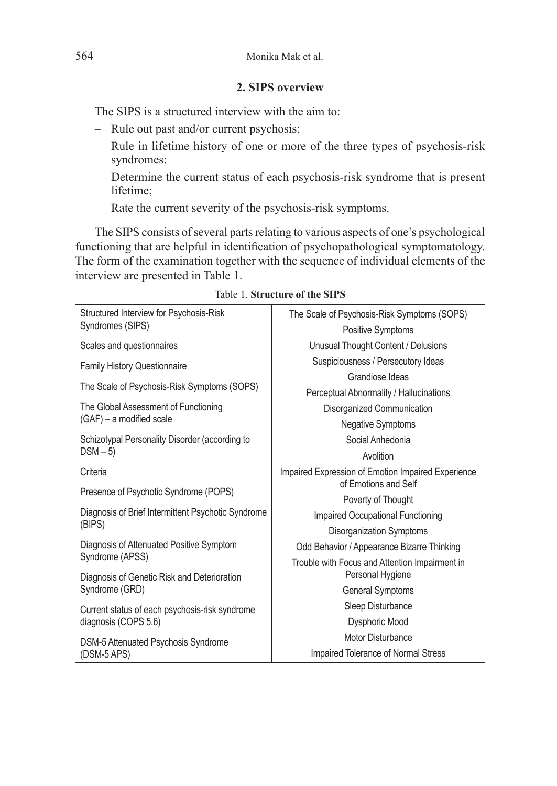# **2. SIPS overview**

The SIPS is a structured interview with the aim to:

- Rule out past and/or current psychosis;
- Rule in lifetime history of one or more of the three types of psychosis-risk syndromes;
- Determine the current status of each psychosis-risk syndrome that is present lifetime;
- Rate the current severity of the psychosis-risk symptoms.

The SIPS consists of several parts relating to various aspects of one's psychological functioning that are helpful in identification of psychopathological symptomatology. The form of the examination together with the sequence of individual elements of the interview are presented in Table 1.

| Structured Interview for Psychosis-Risk            | The Scale of Psychosis-Risk Symptoms (SOPS)        |  |  |  |
|----------------------------------------------------|----------------------------------------------------|--|--|--|
| Syndromes (SIPS)                                   |                                                    |  |  |  |
|                                                    | <b>Positive Symptoms</b>                           |  |  |  |
| Scales and questionnaires                          | Unusual Thought Content / Delusions                |  |  |  |
| <b>Family History Questionnaire</b>                | Suspiciousness / Persecutory Ideas                 |  |  |  |
|                                                    | Grandiose Ideas                                    |  |  |  |
| The Scale of Psychosis-Risk Symptoms (SOPS)        | Perceptual Abnormality / Hallucinations            |  |  |  |
| The Global Assessment of Functioning               | Disorganized Communication                         |  |  |  |
| (GAF) - a modified scale                           | <b>Negative Symptoms</b>                           |  |  |  |
| Schizotypal Personality Disorder (according to     | Social Anhedonia                                   |  |  |  |
| $DSM - 5$                                          | Avolition                                          |  |  |  |
| Criteria                                           | Impaired Expression of Emotion Impaired Experience |  |  |  |
| Presence of Psychotic Syndrome (POPS)              | of Emotions and Self                               |  |  |  |
|                                                    | Poverty of Thought                                 |  |  |  |
| Diagnosis of Brief Intermittent Psychotic Syndrome | Impaired Occupational Functioning                  |  |  |  |
| (BIPS)                                             | Disorganization Symptoms                           |  |  |  |
| Diagnosis of Attenuated Positive Symptom           | Odd Behavior / Appearance Bizarre Thinking         |  |  |  |
| Syndrome (APSS)                                    | Trouble with Focus and Attention Impairment in     |  |  |  |
| Diagnosis of Genetic Risk and Deterioration        | Personal Hygiene                                   |  |  |  |
| Syndrome (GRD)                                     | <b>General Symptoms</b>                            |  |  |  |
| Current status of each psychosis-risk syndrome     | Sleep Disturbance                                  |  |  |  |
| diagnosis (COPS 5.6)                               | Dysphoric Mood                                     |  |  |  |
| DSM-5 Attenuated Psychosis Syndrome                | Motor Disturbance                                  |  |  |  |
| (DSM-5 APS)                                        | Impaired Tolerance of Normal Stress                |  |  |  |

### Table 1. **Structure of the SIPS**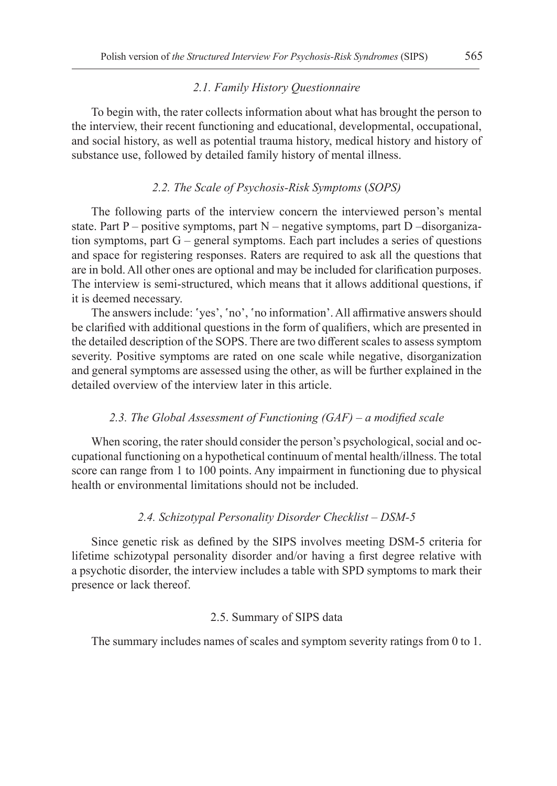#### *2.1. Family History Questionnaire*

To begin with, the rater collects information about what has brought the person to the interview, their recent functioning and educational, developmental, occupational, and social history, as well as potential trauma history, medical history and history of substance use, followed by detailed family history of mental illness.

#### *2.2. The Scale of Psychosis-Risk Symptoms* (*SOPS)*

The following parts of the interview concern the interviewed person's mental state. Part P – positive symptoms, part  $N$  – negative symptoms, part D –disorganization symptoms, part G – general symptoms. Each part includes a series of questions and space for registering responses. Raters are required to ask all the questions that are in bold. All other ones are optional and may be included for clarification purposes. The interview is semi-structured, which means that it allows additional questions, if it is deemed necessary.

The answers include: 'yes', 'no', 'no information'. All affirmative answers should be clarified with additional questions in the form of qualifiers, which are presented in the detailed description of the SOPS. There are two different scales to assess symptom severity. Positive symptoms are rated on one scale while negative, disorganization and general symptoms are assessed using the other, as will be further explained in the detailed overview of the interview later in this article.

#### *2.3. The Global Assessment of Functioning (GAF) – a modified scale*

When scoring, the rater should consider the person's psychological, social and occupational functioning on a hypothetical continuum of mental health/illness. The total score can range from 1 to 100 points. Any impairment in functioning due to physical health or environmental limitations should not be included.

#### *2.4. Schizotypal Personality Disorder Checklist – DSM-5*

Since genetic risk as defined by the SIPS involves meeting DSM-5 criteria for lifetime schizotypal personality disorder and/or having a first degree relative with a psychotic disorder, the interview includes a table with SPD symptoms to mark their presence or lack thereof.

#### 2.5. Summary of SIPS data

The summary includes names of scales and symptom severity ratings from 0 to 1.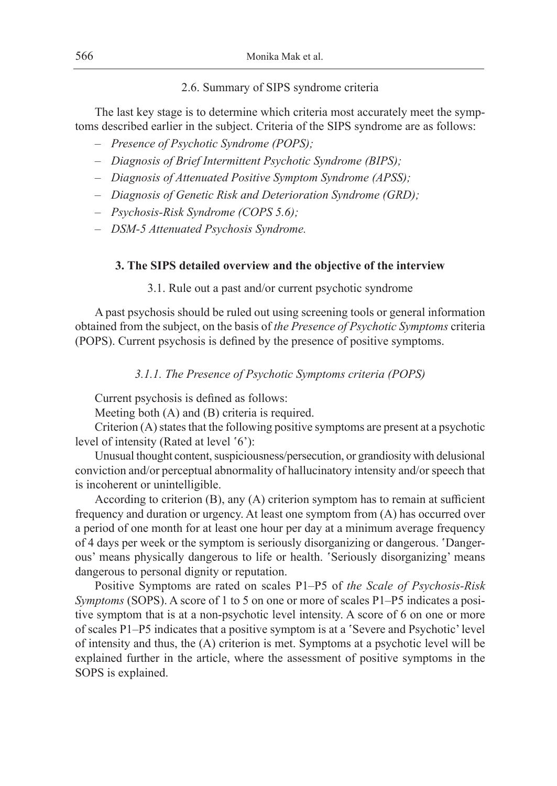### 2.6. Summary of SIPS syndrome criteria

The last key stage is to determine which criteria most accurately meet the symptoms described earlier in the subject. Criteria of the SIPS syndrome are as follows:

- *Presence of Psychotic Syndrome (POPS);*
- *Diagnosis of Brief Intermittent Psychotic Syndrome (BIPS);*
- *Diagnosis of Attenuated Positive Symptom Syndrome (APSS);*
- *Diagnosis of Genetic Risk and Deterioration Syndrome (GRD);*
- *Psychosis-Risk Syndrome (COPS 5.6);*
- *DSM-5 Attenuated Psychosis Syndrome.*

## **3. The SIPS detailed overview and the objective of the interview**

#### 3.1. Rule out a past and/or current psychotic syndrome

A past psychosis should be ruled out using screening tools or general information obtained from the subject, on the basis of *the Presence of Psychotic Symptoms* criteria (POPS). Current psychosis is defined by the presence of positive symptoms.

*3.1.1. The Presence of Psychotic Symptoms criteria (POPS)*

Current psychosis is defined as follows:

Meeting both (A) and (B) criteria is required.

Criterion (A) states that the following positive symptoms are present at a psychotic level of intensity (Rated at level '6'):

Unusual thought content, suspiciousness/persecution, or grandiosity with delusional conviction and/or perceptual abnormality of hallucinatory intensity and/or speech that is incoherent or unintelligible.

According to criterion (B), any (A) criterion symptom has to remain at sufficient frequency and duration or urgency. At least one symptom from (A) has occurred over a period of one month for at least one hour per day at a minimum average frequency of 4 days per week or the symptom is seriously disorganizing or dangerous. 'Dangerous' means physically dangerous to life or health. 'Seriously disorganizing' means dangerous to personal dignity or reputation.

Positive Symptoms are rated on scales P1–P5 of *the Scale of Psychosis-Risk Symptoms* (SOPS). A score of 1 to 5 on one or more of scales P1–P5 indicates a positive symptom that is at a non-psychotic level intensity. A score of 6 on one or more of scales P1–P5 indicates that a positive symptom is at a 'Severe and Psychotic' level of intensity and thus, the (A) criterion is met. Symptoms at a psychotic level will be explained further in the article, where the assessment of positive symptoms in the SOPS is explained.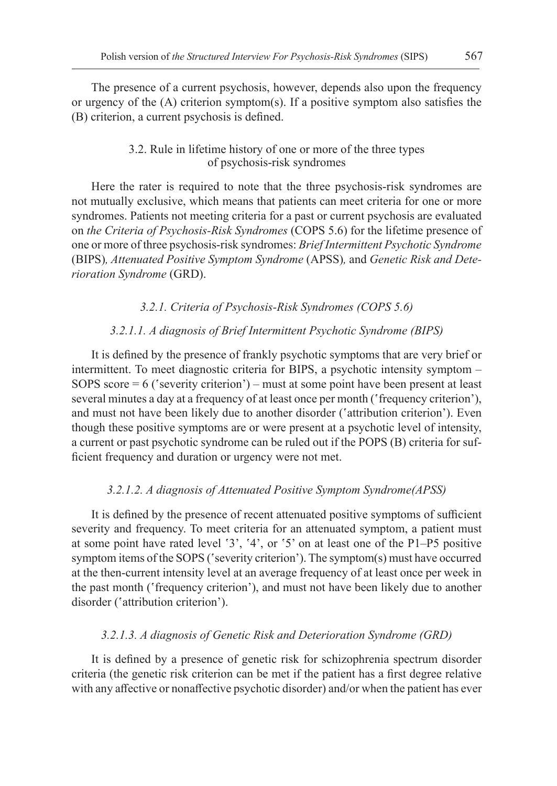The presence of a current psychosis, however, depends also upon the frequency or urgency of the (A) criterion symptom(s). If a positive symptom also satisfies the (B) criterion, a current psychosis is defined.

# 3.2. Rule in lifetime history of one or more of the three types of psychosis-risk syndromes

Here the rater is required to note that the three psychosis-risk syndromes are not mutually exclusive, which means that patients can meet criteria for one or more syndromes. Patients not meeting criteria for a past or current psychosis are evaluated on *the Criteria of Psychosis-Risk Syndromes* (COPS 5.6) for the lifetime presence of one or more of three psychosis-risk syndromes: *Brief Intermittent Psychotic Syndrome* (BIPS)*, Attenuated Positive Symptom Syndrome* (APSS)*,* and *Genetic Risk and Deterioration Syndrome* (GRD).

*3.2.1. Criteria of Psychosis-Risk Syndromes (COPS 5.6)*

# *3.2.1.1. A diagnosis of Brief Intermittent Psychotic Syndrome (BIPS)*

It is defined by the presence of frankly psychotic symptoms that are very brief or intermittent. To meet diagnostic criteria for BIPS, a psychotic intensity symptom – SOPS score = 6 ('severity criterion') – must at some point have been present at least several minutes a day at a frequency of at least once per month ('frequency criterion'), and must not have been likely due to another disorder ('attribution criterion'). Even though these positive symptoms are or were present at a psychotic level of intensity, a current or past psychotic syndrome can be ruled out if the POPS (B) criteria for sufficient frequency and duration or urgency were not met.

### *3.2.1.2. A diagnosis of Attenuated Positive Symptom Syndrome(APSS)*

It is defined by the presence of recent attenuated positive symptoms of sufficient severity and frequency. To meet criteria for an attenuated symptom, a patient must at some point have rated level '3', '4', or '5' on at least one of the P1–P5 positive symptom items of the SOPS ('severity criterion'). The symptom(s) must have occurred at the then-current intensity level at an average frequency of at least once per week in the past month ('frequency criterion'), and must not have been likely due to another disorder ('attribution criterion').

### *3.2.1.3. A diagnosis of Genetic Risk and Deterioration Syndrome (GRD)*

It is defined by a presence of genetic risk for schizophrenia spectrum disorder criteria (the genetic risk criterion can be met if the patient has a first degree relative with any affective or nonaffective psychotic disorder) and/or when the patient has ever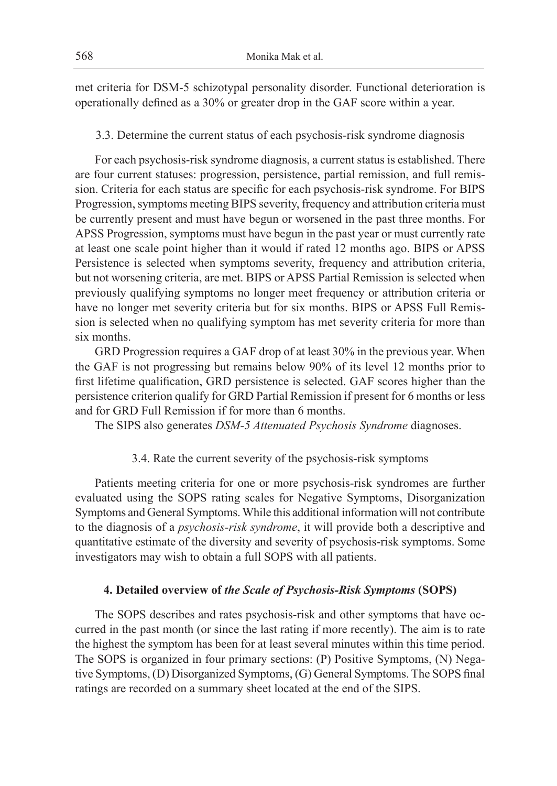met criteria for DSM-5 schizotypal personality disorder. Functional deterioration is operationally defined as a 30% or greater drop in the GAF score within a year.

3.3. Determine the current status of each psychosis-risk syndrome diagnosis

For each psychosis-risk syndrome diagnosis, a current status is established. There are four current statuses: progression, persistence, partial remission, and full remission. Criteria for each status are specific for each psychosis-risk syndrome. For BIPS Progression, symptoms meeting BIPS severity, frequency and attribution criteria must be currently present and must have begun or worsened in the past three months. For APSS Progression, symptoms must have begun in the past year or must currently rate at least one scale point higher than it would if rated 12 months ago. BIPS or APSS Persistence is selected when symptoms severity, frequency and attribution criteria, but not worsening criteria, are met. BIPS or APSS Partial Remission is selected when previously qualifying symptoms no longer meet frequency or attribution criteria or have no longer met severity criteria but for six months. BIPS or APSS Full Remission is selected when no qualifying symptom has met severity criteria for more than six months.

GRD Progression requires a GAF drop of at least 30% in the previous year. When the GAF is not progressing but remains below 90% of its level 12 months prior to first lifetime qualification, GRD persistence is selected. GAF scores higher than the persistence criterion qualify for GRD Partial Remission if present for 6 months or less and for GRD Full Remission if for more than 6 months.

The SIPS also generates *DSM-5 Attenuated Psychosis Syndrome* diagnoses.

# 3.4. Rate the current severity of the psychosis-risk symptoms

Patients meeting criteria for one or more psychosis-risk syndromes are further evaluated using the SOPS rating scales for Negative Symptoms, Disorganization Symptoms and General Symptoms. While this additional information will not contribute to the diagnosis of a *psychosis-risk syndrome*, it will provide both a descriptive and quantitative estimate of the diversity and severity of psychosis-risk symptoms. Some investigators may wish to obtain a full SOPS with all patients.

# **4. Detailed overview of** *the Scale of Psychosis-Risk Symptoms* **(SOPS)**

The SOPS describes and rates psychosis-risk and other symptoms that have occurred in the past month (or since the last rating if more recently). The aim is to rate the highest the symptom has been for at least several minutes within this time period. The SOPS is organized in four primary sections: (P) Positive Symptoms, (N) Negative Symptoms, (D) Disorganized Symptoms, (G) General Symptoms. The SOPS final ratings are recorded on a summary sheet located at the end of the SIPS.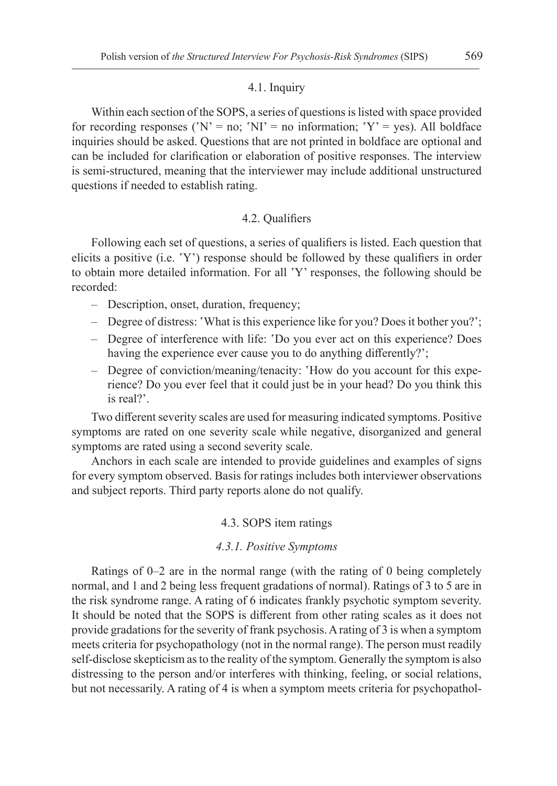#### 4.1. Inquiry

Within each section of the SOPS, a series of questions is listed with space provided for recording responses ('N' = no; 'NI' = no information; 'Y' = yes). All boldface inquiries should be asked. Questions that are not printed in boldface are optional and can be included for clarification or elaboration of positive responses. The interview is semi-structured, meaning that the interviewer may include additional unstructured questions if needed to establish rating.

#### 4.2. Qualifiers

Following each set of questions, a series of qualifiers is listed. Each question that elicits a positive (i.e. 'Y') response should be followed by these qualifiers in order to obtain more detailed information. For all 'Y' responses, the following should be recorded:

- Description, onset, duration, frequency;
- Degree of distress: 'What is this experience like for you? Does it bother you?';
- Degree of interference with life: 'Do you ever act on this experience? Does having the experience ever cause you to do anything differently?';
- Degree of conviction/meaning/tenacity: 'How do you account for this experience? Do you ever feel that it could just be in your head? Do you think this is real?'.

Two different severity scales are used for measuring indicated symptoms. Positive symptoms are rated on one severity scale while negative, disorganized and general symptoms are rated using a second severity scale.

Anchors in each scale are intended to provide guidelines and examples of signs for every symptom observed. Basis for ratings includes both interviewer observations and subject reports. Third party reports alone do not qualify.

#### 4.3. SOPS item ratings

#### *4.3.1. Positive Symptoms*

Ratings of 0–2 are in the normal range (with the rating of 0 being completely normal, and 1 and 2 being less frequent gradations of normal). Ratings of 3 to 5 are in the risk syndrome range. A rating of 6 indicates frankly psychotic symptom severity. It should be noted that the SOPS is different from other rating scales as it does not provide gradations for the severity of frank psychosis. A rating of 3 is when a symptom meets criteria for psychopathology (not in the normal range). The person must readily self-disclose skepticism as to the reality of the symptom. Generally the symptom is also distressing to the person and/or interferes with thinking, feeling, or social relations, but not necessarily. A rating of 4 is when a symptom meets criteria for psychopathol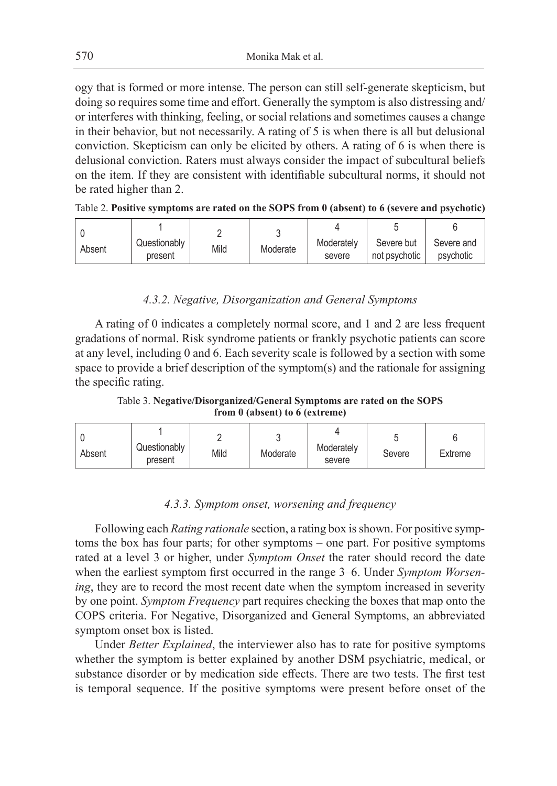ogy that is formed or more intense. The person can still self-generate skepticism, but doing so requires some time and effort. Generally the symptom is also distressing and/ or interferes with thinking, feeling, or social relations and sometimes causes a change in their behavior, but not necessarily. A rating of 5 is when there is all but delusional conviction. Skepticism can only be elicited by others. A rating of 6 is when there is delusional conviction. Raters must always consider the impact of subcultural beliefs on the item. If they are consistent with identifiable subcultural norms, it should not be rated higher than 2.

| Absent | Questionably<br>present | Mild | Moderate | Moderately<br>severe | Severe but<br>not psychotic | Severe and<br>psychotic |
|--------|-------------------------|------|----------|----------------------|-----------------------------|-------------------------|

| Table 2. Positive symptoms are rated on the SOPS from 0 (absent) to 6 (severe and psychotic) |  |
|----------------------------------------------------------------------------------------------|--|
|----------------------------------------------------------------------------------------------|--|

# *4.3.2. Negative, Disorganization and General Symptoms*

A rating of 0 indicates a completely normal score, and 1 and 2 are less frequent gradations of normal. Risk syndrome patients or frankly psychotic patients can score at any level, including 0 and 6. Each severity scale is followed by a section with some space to provide a brief description of the symptom(s) and the rationale for assigning the specific rating.

Table 3. **Negative/Disorganized/General Symptoms are rated on the SOPS from 0 (absent) to 6 (extreme)**

| Absent | Questionably<br>present | Mild | Moderate | Moderately<br>severe | Severe | Extreme |
|--------|-------------------------|------|----------|----------------------|--------|---------|
|--------|-------------------------|------|----------|----------------------|--------|---------|

### *4.3.3. Symptom onset, worsening and frequency*

Following each *Rating rationale* section, a rating box is shown. For positive symptoms the box has four parts; for other symptoms – one part. For positive symptoms rated at a level 3 or higher, under *Symptom Onset* the rater should record the date when the earliest symptom first occurred in the range 3–6. Under *Symptom Worsening*, they are to record the most recent date when the symptom increased in severity by one point. *Symptom Frequency* part requires checking the boxes that map onto the COPS criteria. For Negative, Disorganized and General Symptoms, an abbreviated symptom onset box is listed.

Under *Better Explained*, the interviewer also has to rate for positive symptoms whether the symptom is better explained by another DSM psychiatric, medical, or substance disorder or by medication side effects. There are two tests. The first test is temporal sequence. If the positive symptoms were present before onset of the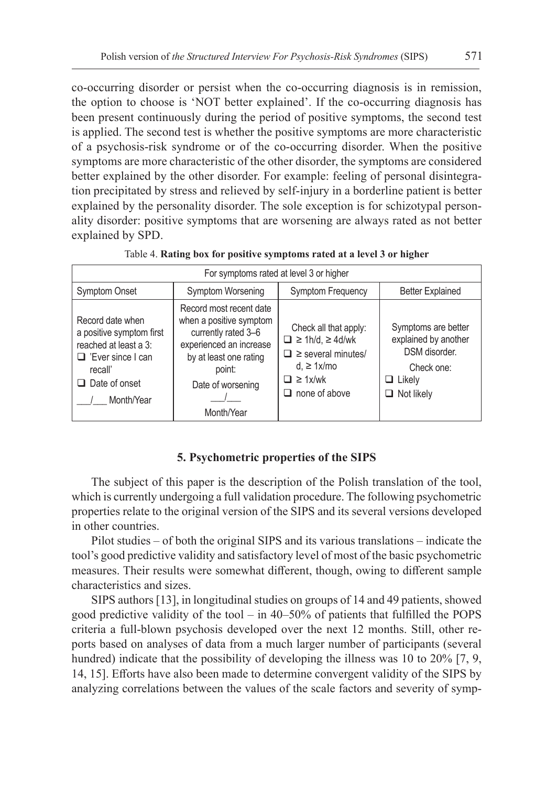co-occurring disorder or persist when the co-occurring diagnosis is in remission, the option to choose is 'NOT better explained'. If the co-occurring diagnosis has been present continuously during the period of positive symptoms, the second test is applied. The second test is whether the positive symptoms are more characteristic of a psychosis-risk syndrome or of the co-occurring disorder. When the positive symptoms are more characteristic of the other disorder, the symptoms are considered better explained by the other disorder. For example: feeling of personal disintegration precipitated by stress and relieved by self-injury in a borderline patient is better explained by the personality disorder. The sole exception is for schizotypal personality disorder: positive symptoms that are worsening are always rated as not better explained by SPD.

| For symptoms rated at level 3 or higher                                                                                                            |                                                                                                                                                                             |                                                                                                                                                      |                                                                                                                  |  |  |
|----------------------------------------------------------------------------------------------------------------------------------------------------|-----------------------------------------------------------------------------------------------------------------------------------------------------------------------------|------------------------------------------------------------------------------------------------------------------------------------------------------|------------------------------------------------------------------------------------------------------------------|--|--|
| <b>Symptom Onset</b>                                                                                                                               | Symptom Worsening                                                                                                                                                           | Symptom Frequency                                                                                                                                    | <b>Better Explained</b>                                                                                          |  |  |
| Record date when<br>a positive symptom first<br>reached at least a 3:<br>$\Box$ 'Ever since I can<br>recall'<br>$\Box$ Date of onset<br>Month/Year | Record most recent date<br>when a positive symptom<br>currently rated 3-6<br>experienced an increase<br>by at least one rating<br>point:<br>Date of worsening<br>Month/Year | Check all that apply:<br>$\Box \ge 1$ h/d, $\ge 4$ d/wk<br>$\Box$ > several minutes/<br>$d \geq 1x/m$ o<br>$\Box \geq 1x/wk$<br>$\Box$ none of above | Symptoms are better<br>explained by another<br>DSM disorder.<br>Check one:<br>$\Box$ Likely<br>$\Box$ Not likely |  |  |

Table 4. **Rating box for positive symptoms rated at a level 3 or higher**

### **5. Psychometric properties of the SIPS**

The subject of this paper is the description of the Polish translation of the tool, which is currently undergoing a full validation procedure. The following psychometric properties relate to the original version of the SIPS and its several versions developed in other countries.

Pilot studies – of both the original SIPS and its various translations – indicate the tool's good predictive validity and satisfactory level of most of the basic psychometric measures. Their results were somewhat different, though, owing to different sample characteristics and sizes.

SIPS authors [13], in longitudinal studies on groups of 14 and 49 patients, showed good predictive validity of the tool – in 40–50% of patients that fulfilled the POPS criteria a full-blown psychosis developed over the next 12 months. Still, other reports based on analyses of data from a much larger number of participants (several hundred) indicate that the possibility of developing the illness was 10 to 20% [7, 9, 14, 15]. Efforts have also been made to determine convergent validity of the SIPS by analyzing correlations between the values of the scale factors and severity of symp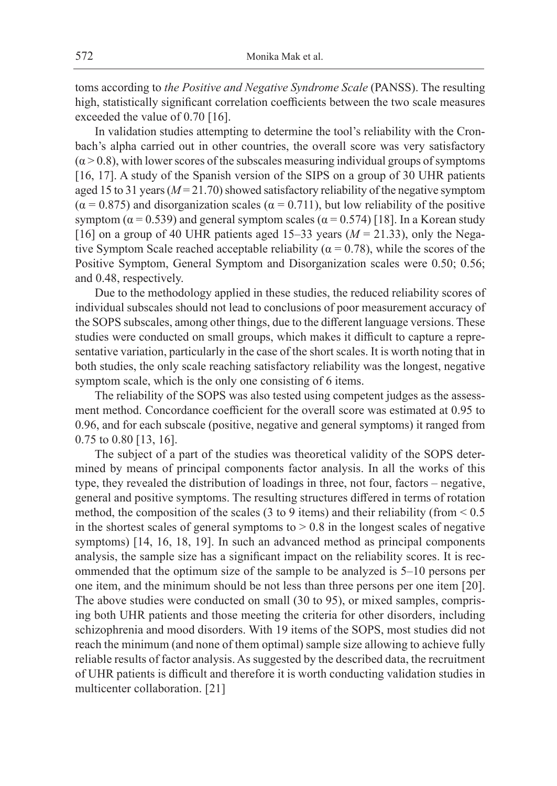toms according to *the Positive and Negative Syndrome Scale* (PANSS). The resulting high, statistically significant correlation coefficients between the two scale measures exceeded the value of 0.70 [16].

In validation studies attempting to determine the tool's reliability with the Cronbach's alpha carried out in other countries, the overall score was very satisfactory  $(\alpha > 0.8)$ , with lower scores of the subscales measuring individual groups of symptoms [16, 17]. A study of the Spanish version of the SIPS on a group of 30 UHR patients aged 15 to 31 years (*M* = 21.70) showed satisfactory reliability of the negative symptom  $(\alpha = 0.875)$  and disorganization scales  $(\alpha = 0.711)$ , but low reliability of the positive symptom ( $\alpha$  = 0.539) and general symptom scales ( $\alpha$  = 0.574) [18]. In a Korean study [16] on a group of 40 UHR patients aged  $15-33$  years ( $M = 21.33$ ), only the Negative Symptom Scale reached acceptable reliability ( $\alpha = 0.78$ ), while the scores of the Positive Symptom, General Symptom and Disorganization scales were 0.50; 0.56; and 0.48, respectively.

Due to the methodology applied in these studies, the reduced reliability scores of individual subscales should not lead to conclusions of poor measurement accuracy of the SOPS subscales, among other things, due to the different language versions. These studies were conducted on small groups, which makes it difficult to capture a representative variation, particularly in the case of the short scales. It is worth noting that in both studies, the only scale reaching satisfactory reliability was the longest, negative symptom scale, which is the only one consisting of 6 items.

The reliability of the SOPS was also tested using competent judges as the assessment method. Concordance coefficient for the overall score was estimated at 0.95 to 0.96, and for each subscale (positive, negative and general symptoms) it ranged from 0.75 to 0.80 [13, 16].

The subject of a part of the studies was theoretical validity of the SOPS determined by means of principal components factor analysis. In all the works of this type, they revealed the distribution of loadings in three, not four, factors – negative, general and positive symptoms. The resulting structures differed in terms of rotation method, the composition of the scales (3 to 9 items) and their reliability (from < 0.5 in the shortest scales of general symptoms to  $> 0.8$  in the longest scales of negative symptoms) [14, 16, 18, 19]. In such an advanced method as principal components analysis, the sample size has a significant impact on the reliability scores. It is recommended that the optimum size of the sample to be analyzed is 5–10 persons per one item, and the minimum should be not less than three persons per one item [20]. The above studies were conducted on small (30 to 95), or mixed samples, comprising both UHR patients and those meeting the criteria for other disorders, including schizophrenia and mood disorders. With 19 items of the SOPS, most studies did not reach the minimum (and none of them optimal) sample size allowing to achieve fully reliable results of factor analysis. As suggested by the described data, the recruitment of UHR patients is difficult and therefore it is worth conducting validation studies in multicenter collaboration. [21]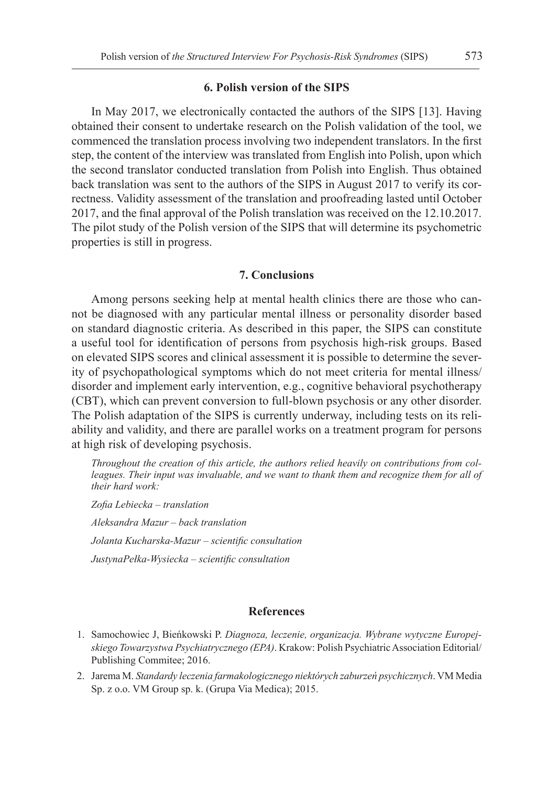#### **6. Polish version of the SIPS**

In May 2017, we electronically contacted the authors of the SIPS [13]. Having obtained their consent to undertake research on the Polish validation of the tool, we commenced the translation process involving two independent translators. In the first step, the content of the interview was translated from English into Polish, upon which the second translator conducted translation from Polish into English. Thus obtained back translation was sent to the authors of the SIPS in August 2017 to verify its correctness. Validity assessment of the translation and proofreading lasted until October 2017, and the final approval of the Polish translation was received on the 12.10.2017. The pilot study of the Polish version of the SIPS that will determine its psychometric properties is still in progress.

# **7. Conclusions**

Among persons seeking help at mental health clinics there are those who cannot be diagnosed with any particular mental illness or personality disorder based on standard diagnostic criteria. As described in this paper, the SIPS can constitute a useful tool for identification of persons from psychosis high-risk groups. Based on elevated SIPS scores and clinical assessment it is possible to determine the severity of psychopathological symptoms which do not meet criteria for mental illness/ disorder and implement early intervention, e.g., cognitive behavioral psychotherapy (CBT), which can prevent conversion to full-blown psychosis or any other disorder. The Polish adaptation of the SIPS is currently underway, including tests on its reliability and validity, and there are parallel works on a treatment program for persons at high risk of developing psychosis.

*Throughout the creation of this article, the authors relied heavily on contributions from colleagues. Their input was invaluable, and we want to thank them and recognize them for all of their hard work:*

*Zofia Lebiecka – translation Aleksandra Mazur – back translation Jolanta Kucharska-Mazur – scientific consultation JustynaPełka-Wysiecka – scientific consultation*

## **References**

- 1. Samochowiec J, Bieńkowski P. *Diagnoza, leczenie, organizacja. Wybrane wytyczne Europejskiego Towarzystwa Psychiatrycznego (EPA)*. Krakow: Polish Psychiatric Association Editorial/ Publishing Commitee; 2016.
- 2. Jarema M. *Standardy leczenia farmakologicznego niektórych zaburzeń psychicznych*. VM Media Sp. z o.o. VM Group sp. k. (Grupa Via Medica); 2015.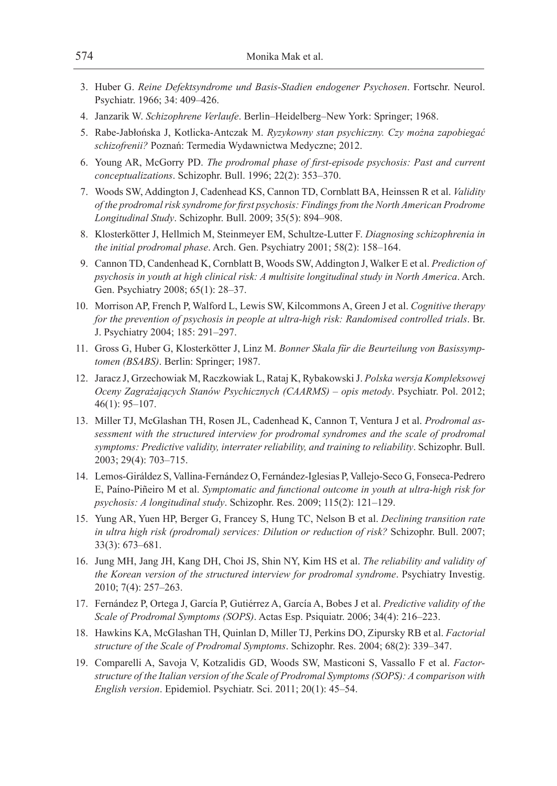- 3. Huber G. *Reine Defektsyndrome und Basis-Stadien endogener Psychosen*. Fortschr. Neurol. Psychiatr. 1966; 34: 409–426.
- 4. Janzarik W. *Schizophrene Verlaufe*. Berlin–Heidelberg–New York: Springer; 1968.
- 5. Rabe-Jabłońska J, Kotlicka-Antczak M. *Ryzykowny stan psychiczny. Czy można zapobiegać schizofrenii?* Poznań: Termedia Wydawnictwa Medyczne; 2012.
- 6. Young AR, McGorry PD. *The prodromal phase of first-episode psychosis: Past and current conceptualizations*. Schizophr. Bull. 1996; 22(2): 353–370.
- 7. Woods SW, Addington J, Cadenhead KS, Cannon TD, Cornblatt BA, Heinssen R et al. *Validity of the prodromal risk syndrome for first psychosis: Findings from the North American Prodrome Longitudinal Study*. Schizophr. Bull. 2009; 35(5): 894–908.
- 8. Klosterkötter J, Hellmich M, Steinmeyer EM, Schultze-Lutter F. *Diagnosing schizophrenia in the initial prodromal phase*. Arch. Gen. Psychiatry 2001; 58(2): 158–164.
- 9. Cannon TD, Candenhead K, Cornblatt B, Woods SW, Addington J, Walker E et al. *Prediction of psychosis in youth at high clinical risk: A multisite longitudinal study in North America*. Arch. Gen. Psychiatry 2008; 65(1): 28–37.
- 10. Morrison AP, French P, Walford L, Lewis SW, Kilcommons A, Green J et al. *Cognitive therapy*  for the prevention of psychosis in people at ultra-high risk: Randomised controlled trials. Br. J. Psychiatry 2004; 185: 291–297.
- 11. Gross G, Huber G, Klosterkötter J, Linz M. *Bonner Skala für die Beurteilung von Basissymptomen (BSABS)*. Berlin: Springer; 1987.
- 12. Jaracz J, Grzechowiak M, Raczkowiak L, Rataj K, Rybakowski J. *Polska wersja Kompleksowej Oceny Zagrażających Stanów Psychicznych (CAARMS) – opis metody*. Psychiatr. Pol. 2012; 46(1): 95–107.
- 13. Miller TJ, McGlashan TH, Rosen JL, Cadenhead K, Cannon T, Ventura J et al. *Prodromal assessment with the structured interview for prodromal syndromes and the scale of prodromal symptoms: Predictive validity, interrater reliability, and training to reliability*. Schizophr. Bull. 2003; 29(4): 703–715.
- 14. Lemos-Giráldez S, Vallina-Fernández O, Fernández-Iglesias P, Vallejo-Seco G, Fonseca-Pedrero E, Paíno-Piñeiro M et al. *Symptomatic and functional outcome in youth at ultra-high risk for psychosis: A longitudinal study*. Schizophr. Res. 2009; 115(2): 121–129.
- 15. Yung AR, Yuen HP, Berger G, Francey S, Hung TC, Nelson B et al. *Declining transition rate in ultra high risk (prodromal) services: Dilution or reduction of risk?* Schizophr. Bull. 2007; 33(3): 673–681.
- 16. Jung MH, Jang JH, Kang DH, Choi JS, Shin NY, Kim HS et al. *The reliability and validity of the Korean version of the structured interview for prodromal syndrome*. Psychiatry Investig. 2010; 7(4): 257–263.
- 17. Fernández P, Ortega J, García P, Gutiérrez A, García A, Bobes J et al. *Predictive validity of the Scale of Prodromal Symptoms (SOPS)*. Actas Esp. Psiquiatr. 2006; 34(4): 216–223.
- 18. Hawkins KA, McGlashan TH, Quinlan D, Miller TJ, Perkins DO, Zipursky RB et al. *Factorial structure of the Scale of Prodromal Symptoms*. Schizophr. Res. 2004; 68(2): 339–347.
- 19. Comparelli A, Savoja V, Kotzalidis GD, Woods SW, Masticoni S, Vassallo F et al. *Factorstructure of the Italian version of the Scale of Prodromal Symptoms (SOPS): A comparison with English version*. Epidemiol. Psychiatr. Sci. 2011; 20(1): 45–54.